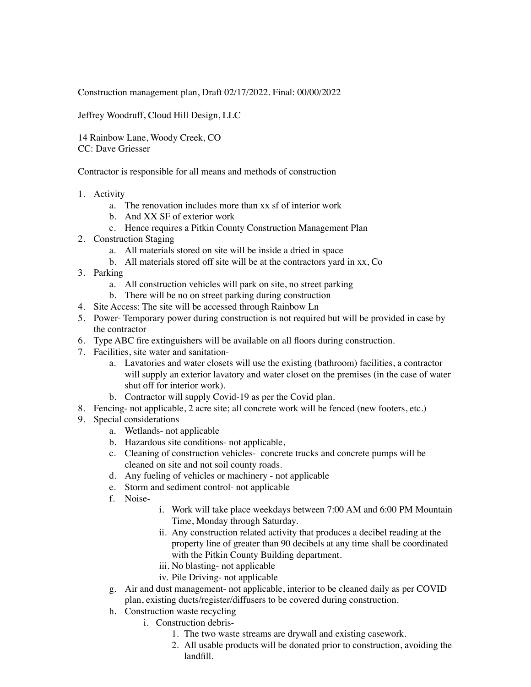Construction management plan, Draft 02/17/2022. Final: 00/00/2022

Jeffrey Woodruff, Cloud Hill Design, LLC

14 Rainbow Lane, Woody Creek, CO CC: Dave Griesser

Contractor is responsible for all means and methods of construction

- 1. Activity
	- a. The renovation includes more than xx sf of interior work
	- b. And XX SF of exterior work
	- c. Hence requires a Pitkin County Construction Management Plan
- 2. Construction Staging
	- a. All materials stored on site will be inside a dried in space
	- b. All materials stored off site will be at the contractors yard in xx, Co
- 3. Parking
	- a. All construction vehicles will park on site, no street parking
	- b. There will be no on street parking during construction
- 4. Site Access: The site will be accessed through Rainbow Ln
- 5. Power- Temporary power during construction is not required but will be provided in case by the contractor
- 6. Type ABC fire extinguishers will be available on all floors during construction.
- 7. Facilities, site water and sanitation
	- a. Lavatories and water closets will use the existing (bathroom) facilities, a contractor will supply an exterior lavatory and water closet on the premises (in the case of water shut off for interior work).
	- b. Contractor will supply Covid-19 as per the Covid plan.
- 8. Fencing- not applicable, 2 acre site; all concrete work will be fenced (new footers, etc.)
- 9. Special considerations
	- a. Wetlands- not applicable
	- b. Hazardous site conditions- not applicable,
	- c. Cleaning of construction vehicles- concrete trucks and concrete pumps will be cleaned on site and not soil county roads.
	- d. Any fueling of vehicles or machinery not applicable
	- e. Storm and sediment control- not applicable
	- f. Noise-
- i. Work will take place weekdays between 7:00 AM and 6:00 PM Mountain Time, Monday through Saturday.
- ii. Any construction related activity that produces a decibel reading at the property line of greater than 90 decibels at any time shall be coordinated with the Pitkin County Building department.
- iii. No blasting- not applicable
- iv. Pile Driving- not applicable
- g. Air and dust management- not applicable, interior to be cleaned daily as per COVID plan, existing ducts/register/diffusers to be covered during construction.
- h. Construction waste recycling
	- i. Construction debris-
		- 1. The two waste streams are drywall and existing casework.
		- 2. All usable products will be donated prior to construction, avoiding the landfill.